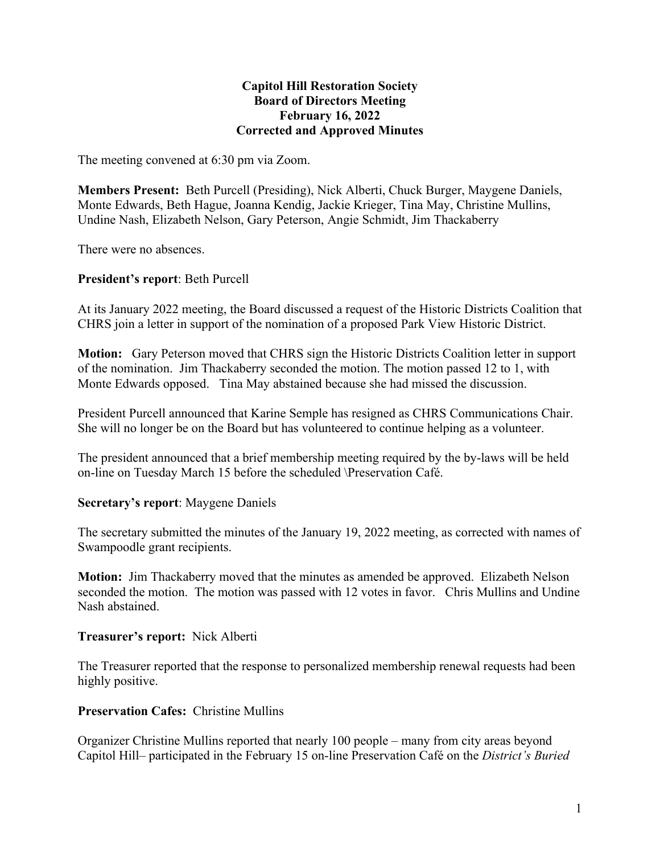## **Capitol Hill Restoration Society Board of Directors Meeting February 16, 2022 Corrected and Approved Minutes**

The meeting convened at 6:30 pm via Zoom.

**Members Present:** Beth Purcell (Presiding), Nick Alberti, Chuck Burger, Maygene Daniels, Monte Edwards, Beth Hague, Joanna Kendig, Jackie Krieger, Tina May, Christine Mullins, Undine Nash, Elizabeth Nelson, Gary Peterson, Angie Schmidt, Jim Thackaberry

There were no absences.

## **President's report**: Beth Purcell

At its January 2022 meeting, the Board discussed a request of the Historic Districts Coalition that CHRS join a letter in support of the nomination of a proposed Park View Historic District.

**Motion:** Gary Peterson moved that CHRS sign the Historic Districts Coalition letter in support of the nomination. Jim Thackaberry seconded the motion. The motion passed 12 to 1, with Monte Edwards opposed. Tina May abstained because she had missed the discussion.

President Purcell announced that Karine Semple has resigned as CHRS Communications Chair. She will no longer be on the Board but has volunteered to continue helping as a volunteer.

The president announced that a brief membership meeting required by the by-laws will be held on-line on Tuesday March 15 before the scheduled \Preservation Café.

#### **Secretary's report**: Maygene Daniels

The secretary submitted the minutes of the January 19, 2022 meeting, as corrected with names of Swampoodle grant recipients.

**Motion:** Jim Thackaberry moved that the minutes as amended be approved. Elizabeth Nelson seconded the motion. The motion was passed with 12 votes in favor. Chris Mullins and Undine Nash abstained.

#### **Treasurer's report:** Nick Alberti

The Treasurer reported that the response to personalized membership renewal requests had been highly positive.

#### **Preservation Cafes:** Christine Mullins

Organizer Christine Mullins reported that nearly 100 people – many from city areas beyond Capitol Hill– participated in the February 15 on-line Preservation Café on the *District's Buried*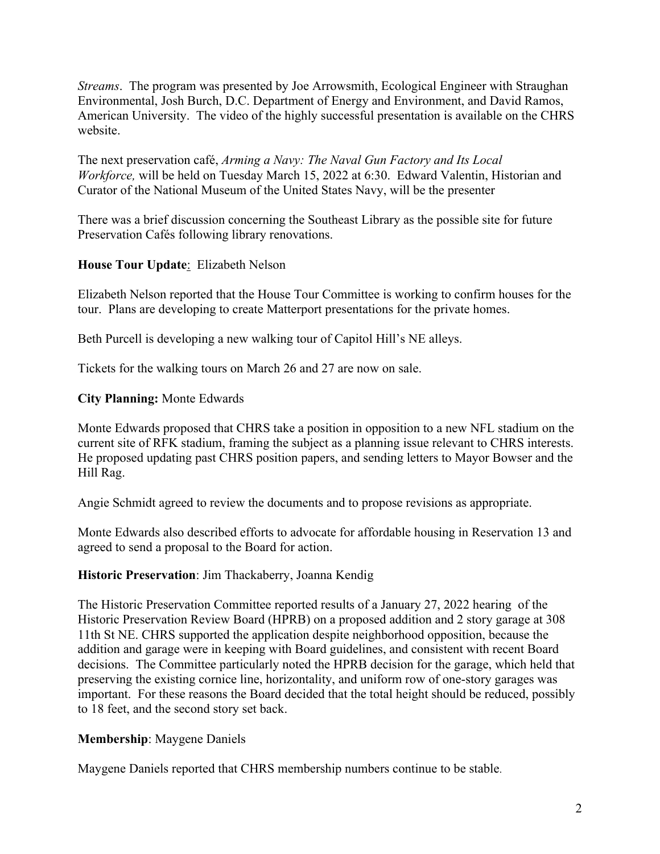*Streams*. The program was presented by Joe Arrowsmith, Ecological Engineer with Straughan Environmental, Josh Burch, D.C. Department of Energy and Environment, and David Ramos, American University. The video of the highly successful presentation is available on the CHRS website.

The next preservation café, *Arming a Navy: The Naval Gun Factory and Its Local Workforce,* will be held on Tuesday March 15, 2022 at 6:30. Edward Valentin, Historian and Curator of the National Museum of the United States Navy, will be the presenter

There was a brief discussion concerning the Southeast Library as the possible site for future Preservation Cafés following library renovations.

# **House Tour Update**: Elizabeth Nelson

Elizabeth Nelson reported that the House Tour Committee is working to confirm houses for the tour. Plans are developing to create Matterport presentations for the private homes.

Beth Purcell is developing a new walking tour of Capitol Hill's NE alleys.

Tickets for the walking tours on March 26 and 27 are now on sale.

## **City Planning:** Monte Edwards

Monte Edwards proposed that CHRS take a position in opposition to a new NFL stadium on the current site of RFK stadium, framing the subject as a planning issue relevant to CHRS interests. He proposed updating past CHRS position papers, and sending letters to Mayor Bowser and the Hill Rag.

Angie Schmidt agreed to review the documents and to propose revisions as appropriate.

Monte Edwards also described efforts to advocate for affordable housing in Reservation 13 and agreed to send a proposal to the Board for action.

# **Historic Preservation**: Jim Thackaberry, Joanna Kendig

The Historic Preservation Committee reported results of a January 27, 2022 hearing of the Historic Preservation Review Board (HPRB) on a proposed addition and 2 story garage at 308 11th St NE. CHRS supported the application despite neighborhood opposition, because the addition and garage were in keeping with Board guidelines, and consistent with recent Board decisions. The Committee particularly noted the HPRB decision for the garage, which held that preserving the existing cornice line, horizontality, and uniform row of one-story garages was important. For these reasons the Board decided that the total height should be reduced, possibly to 18 feet, and the second story set back.

# **Membership**: Maygene Daniels

Maygene Daniels reported that CHRS membership numbers continue to be stable.